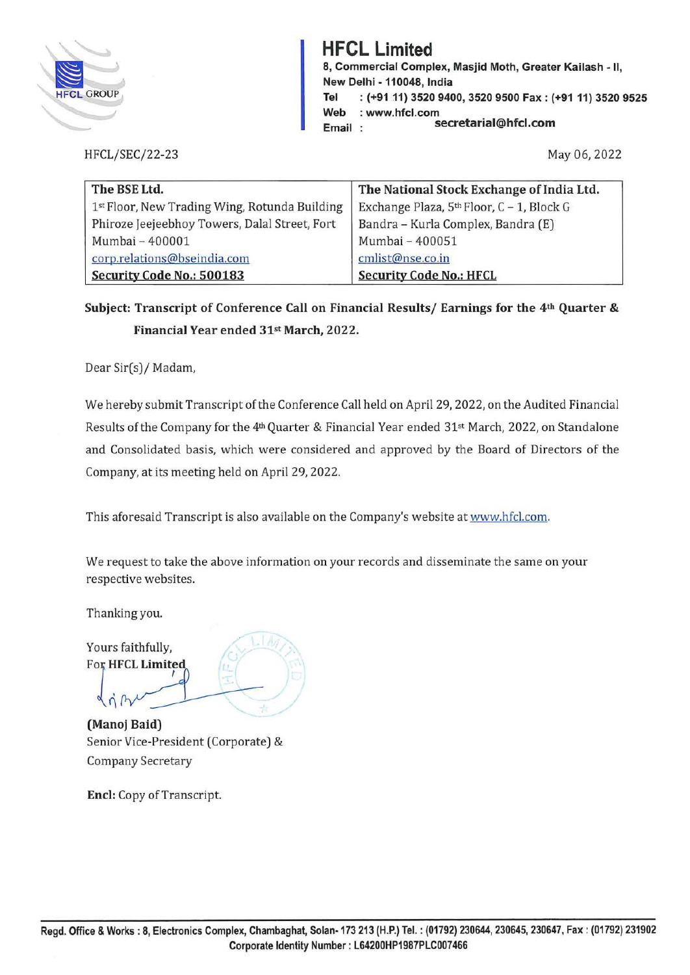

## **HFCL Limited**

**8, Commercial Complex, Masjid Moth, Greater Kailash - II, New Delhi -110048, India Tel : (+91 11) 3520 9400, 3520 9500 Fax: (+91 11) 3520 9525 Web Email**  : **www.hfcl.com secretarial@hfcl.com** 

HFCL/SEC/22-23

May 06, 2022

| The BSE Ltd.                                  | The National Stock Exchange of India Ltd. |
|-----------------------------------------------|-------------------------------------------|
| 1st Floor, New Trading Wing, Rotunda Building | Exchange Plaza, 5th Floor, C - 1, Block G |
| Phiroze Jeejeebhoy Towers, Dalal Street, Fort | Bandra - Kurla Complex, Bandra (E)        |
| Mumbai - 400001                               | Mumbai - 400051                           |
| corp.relations@bseindia.com                   | cmlist@nse.co.in                          |
| Security Code No.: 500183                     | <b>Security Code No.: HFCL</b>            |

**Subject: Transcript of Conference Call on Financial Results/ Earnings for the 4th Quarter** & **Financial Year ended 31st March, 2022.** 

Dear Sir(s)/ Madam,

We hereby submit Transcript of the Conference Call held on April 29, 2022, on the Audited Financial Results of the Company for the 4<sup>th</sup> Quarter & Financial Year ended 31<sup>st</sup> March, 2022, on Standalone and Consolidated basis, which were considered and approved by the Board of Directors of the Company, at its meeting held on April 29, 2022.

This aforesaid Transcript is also available on the Company's website at www.hfcl.com.

We request to take the above information on your records and disseminate the same on your respective websites.

Thanking you.

., .

Yours faithfully, For **HFCL** Limited

**(Manoj Baid)**  ully,<br>
imited<br>
<br>
d) Senior Vice-President (Corporate) & Company Secretary

**Encl:** Copy of Transcript.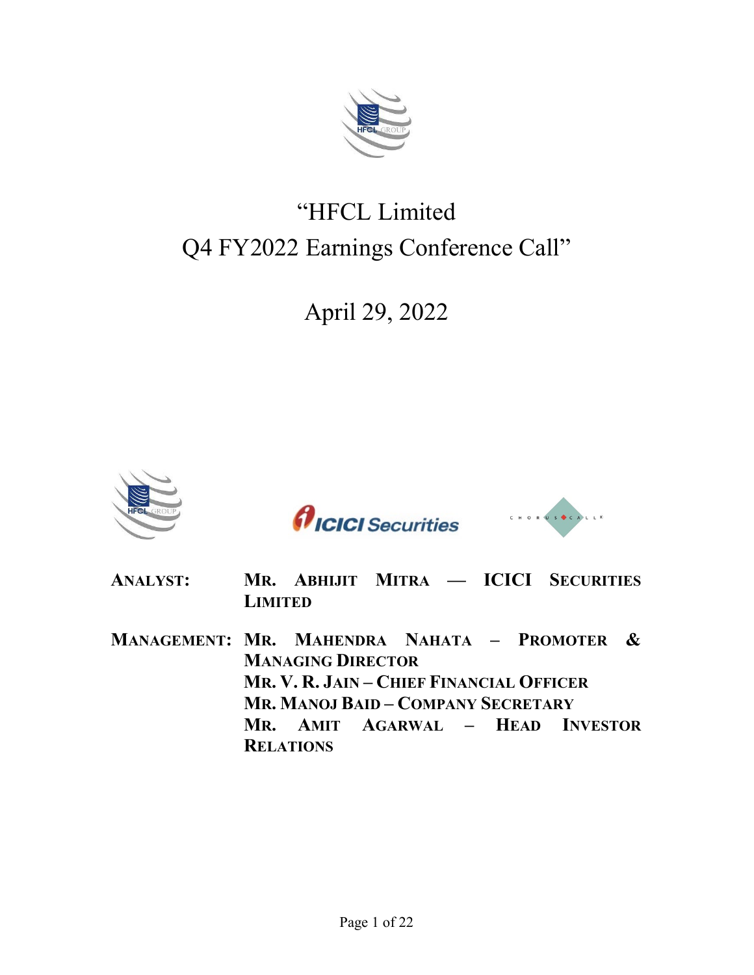

# "HFCL Limited Q4 FY2022 Earnings Conference Call"

## April 29, 2022







- **ANALYST: MR. ABHIJIT MITRA — ICICI SECURITIES LIMITED**
- **MANAGEMENT: MR. MAHENDRA NAHATA – PROMOTER & MANAGING DIRECTOR MR. V. R. JAIN – CHIEF FINANCIAL OFFICER MR. MANOJ BAID – COMPANY SECRETARY MR. AMIT AGARWAL – HEAD INVESTOR RELATIONS**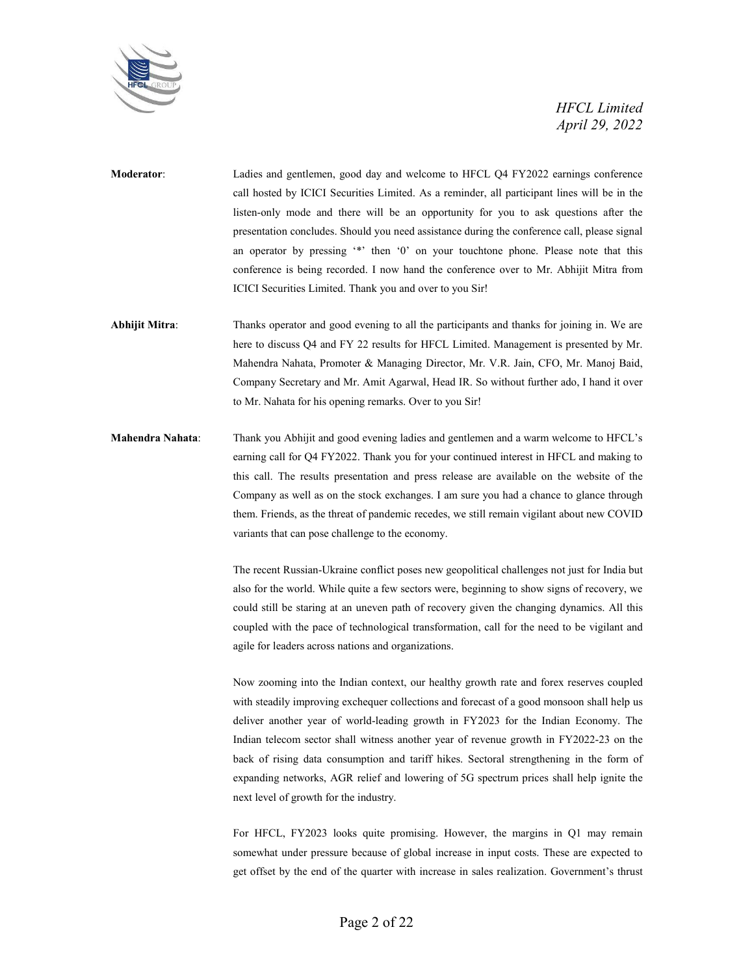

- **Moderator**: Ladies and gentlemen, good day and welcome to HFCL Q4 FY2022 earnings conference call hosted by ICICI Securities Limited. As a reminder, all participant lines will be in the listen-only mode and there will be an opportunity for you to ask questions after the presentation concludes. Should you need assistance during the conference call, please signal an operator by pressing '\*' then '0' on your touchtone phone. Please note that this conference is being recorded. I now hand the conference over to Mr. Abhijit Mitra from ICICI Securities Limited. Thank you and over to you Sir!
- **Abhijit Mitra**: Thanks operator and good evening to all the participants and thanks for joining in. We are here to discuss Q4 and FY 22 results for HFCL Limited. Management is presented by Mr. Mahendra Nahata, Promoter & Managing Director, Mr. V.R. Jain, CFO, Mr. Manoj Baid, Company Secretary and Mr. Amit Agarwal, Head IR. So without further ado, I hand it over to Mr. Nahata for his opening remarks. Over to you Sir!
- **Mahendra Nahata**: Thank you Abhijit and good evening ladies and gentlemen and a warm welcome to HFCL's earning call for Q4 FY2022. Thank you for your continued interest in HFCL and making to this call. The results presentation and press release are available on the website of the Company as well as on the stock exchanges. I am sure you had a chance to glance through them. Friends, as the threat of pandemic recedes, we still remain vigilant about new COVID variants that can pose challenge to the economy.

The recent Russian-Ukraine conflict poses new geopolitical challenges not just for India but also for the world. While quite a few sectors were, beginning to show signs of recovery, we could still be staring at an uneven path of recovery given the changing dynamics. All this coupled with the pace of technological transformation, call for the need to be vigilant and agile for leaders across nations and organizations.

Now zooming into the Indian context, our healthy growth rate and forex reserves coupled with steadily improving exchequer collections and forecast of a good monsoon shall help us deliver another year of world-leading growth in FY2023 for the Indian Economy. The Indian telecom sector shall witness another year of revenue growth in FY2022-23 on the back of rising data consumption and tariff hikes. Sectoral strengthening in the form of expanding networks, AGR relief and lowering of 5G spectrum prices shall help ignite the next level of growth for the industry.

For HFCL, FY2023 looks quite promising. However, the margins in Q1 may remain somewhat under pressure because of global increase in input costs. These are expected to get offset by the end of the quarter with increase in sales realization. Government's thrust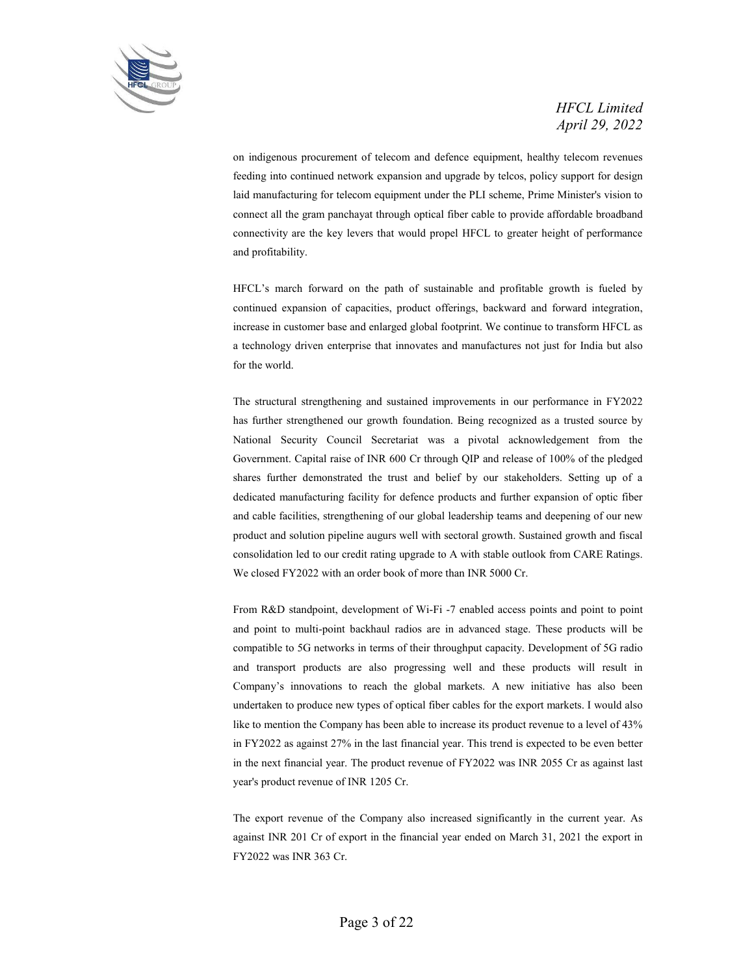

on indigenous procurement of telecom and defence equipment, healthy telecom revenues feeding into continued network expansion and upgrade by telcos, policy support for design laid manufacturing for telecom equipment under the PLI scheme, Prime Minister's vision to connect all the gram panchayat through optical fiber cable to provide affordable broadband connectivity are the key levers that would propel HFCL to greater height of performance and profitability.

HFCL's march forward on the path of sustainable and profitable growth is fueled by continued expansion of capacities, product offerings, backward and forward integration, increase in customer base and enlarged global footprint. We continue to transform HFCL as a technology driven enterprise that innovates and manufactures not just for India but also for the world.

The structural strengthening and sustained improvements in our performance in FY2022 has further strengthened our growth foundation. Being recognized as a trusted source by National Security Council Secretariat was a pivotal acknowledgement from the Government. Capital raise of INR 600 Cr through QIP and release of 100% of the pledged shares further demonstrated the trust and belief by our stakeholders. Setting up of a dedicated manufacturing facility for defence products and further expansion of optic fiber and cable facilities, strengthening of our global leadership teams and deepening of our new product and solution pipeline augurs well with sectoral growth. Sustained growth and fiscal consolidation led to our credit rating upgrade to A with stable outlook from CARE Ratings. We closed FY2022 with an order book of more than INR 5000 Cr.

From R&D standpoint, development of Wi-Fi -7 enabled access points and point to point and point to multi-point backhaul radios are in advanced stage. These products will be compatible to 5G networks in terms of their throughput capacity. Development of 5G radio and transport products are also progressing well and these products will result in Company's innovations to reach the global markets. A new initiative has also been undertaken to produce new types of optical fiber cables for the export markets. I would also like to mention the Company has been able to increase its product revenue to a level of 43% in FY2022 as against 27% in the last financial year. This trend is expected to be even better in the next financial year. The product revenue of FY2022 was INR 2055 Cr as against last year's product revenue of INR 1205 Cr.

The export revenue of the Company also increased significantly in the current year. As against INR 201 Cr of export in the financial year ended on March 31, 2021 the export in FY2022 was INR 363 Cr.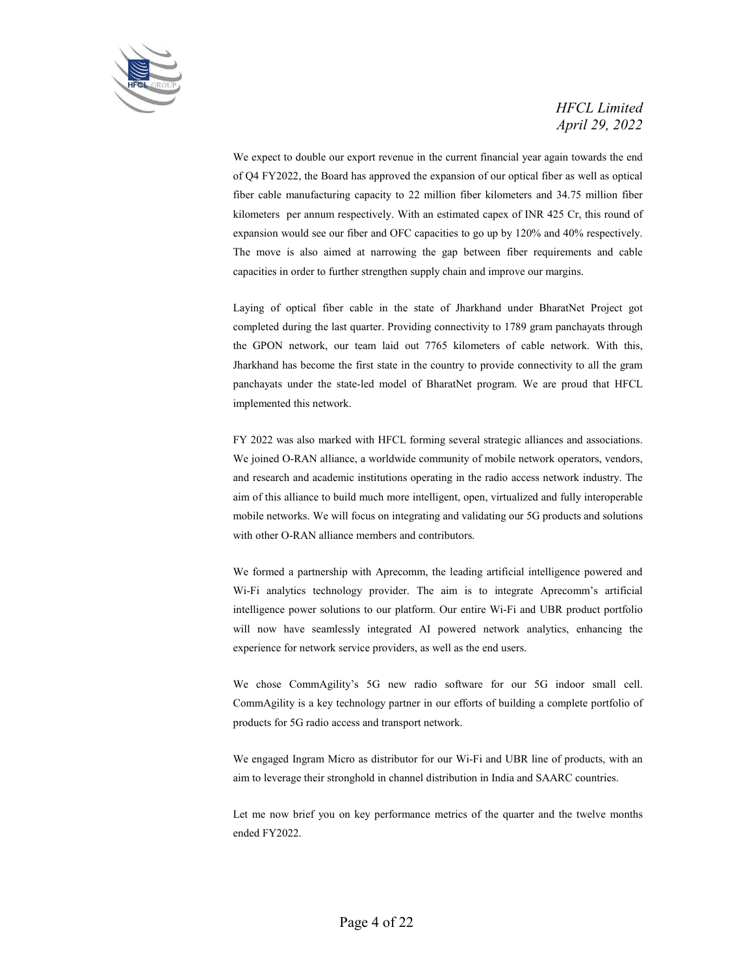

We expect to double our export revenue in the current financial year again towards the end of Q4 FY2022, the Board has approved the expansion of our optical fiber as well as optical fiber cable manufacturing capacity to 22 million fiber kilometers and 34.75 million fiber kilometers per annum respectively. With an estimated capex of INR 425 Cr, this round of expansion would see our fiber and OFC capacities to go up by 120% and 40% respectively. The move is also aimed at narrowing the gap between fiber requirements and cable capacities in order to further strengthen supply chain and improve our margins.

Laying of optical fiber cable in the state of Jharkhand under BharatNet Project got completed during the last quarter. Providing connectivity to 1789 gram panchayats through the GPON network, our team laid out 7765 kilometers of cable network. With this, Jharkhand has become the first state in the country to provide connectivity to all the gram panchayats under the state-led model of BharatNet program. We are proud that HFCL implemented this network.

FY 2022 was also marked with HFCL forming several strategic alliances and associations. We joined O-RAN alliance, a worldwide community of mobile network operators, vendors, and research and academic institutions operating in the radio access network industry. The aim of this alliance to build much more intelligent, open, virtualized and fully interoperable mobile networks. We will focus on integrating and validating our 5G products and solutions with other O-RAN alliance members and contributors.

We formed a partnership with Aprecomm, the leading artificial intelligence powered and Wi-Fi analytics technology provider. The aim is to integrate Aprecomm's artificial intelligence power solutions to our platform. Our entire Wi-Fi and UBR product portfolio will now have seamlessly integrated AI powered network analytics, enhancing the experience for network service providers, as well as the end users.

We chose CommAgility's 5G new radio software for our 5G indoor small cell. CommAgility is a key technology partner in our efforts of building a complete portfolio of products for 5G radio access and transport network.

We engaged Ingram Micro as distributor for our Wi-Fi and UBR line of products, with an aim to leverage their stronghold in channel distribution in India and SAARC countries.

Let me now brief you on key performance metrics of the quarter and the twelve months ended FY2022.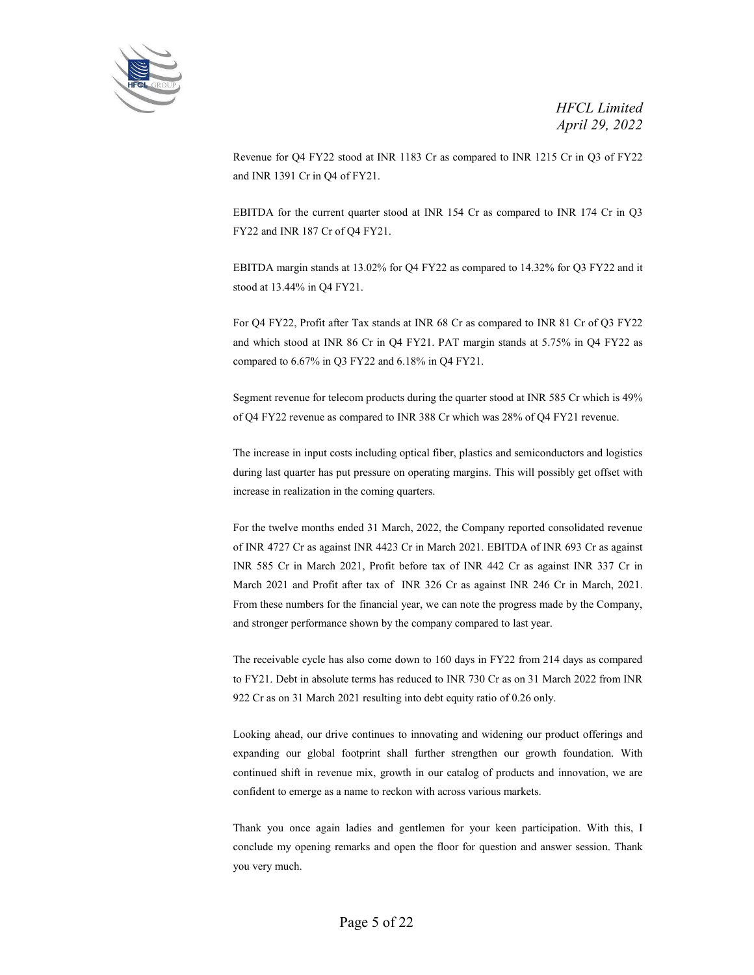

Revenue for Q4 FY22 stood at INR 1183 Cr as compared to INR 1215 Cr in Q3 of FY22 and INR 1391 Cr in Q4 of FY21.

EBITDA for the current quarter stood at INR 154 Cr as compared to INR 174 Cr in Q3 FY22 and INR 187 Cr of Q4 FY21.

EBITDA margin stands at 13.02% for Q4 FY22 as compared to 14.32% for Q3 FY22 and it stood at 13.44% in Q4 FY21.

For Q4 FY22, Profit after Tax stands at INR 68 Cr as compared to INR 81 Cr of Q3 FY22 and which stood at INR 86 Cr in Q4 FY21. PAT margin stands at 5.75% in Q4 FY22 as compared to 6.67% in Q3 FY22 and 6.18% in Q4 FY21.

Segment revenue for telecom products during the quarter stood at INR 585 Cr which is 49% of Q4 FY22 revenue as compared to INR 388 Cr which was 28% of Q4 FY21 revenue.

The increase in input costs including optical fiber, plastics and semiconductors and logistics during last quarter has put pressure on operating margins. This will possibly get offset with increase in realization in the coming quarters.

For the twelve months ended 31 March, 2022, the Company reported consolidated revenue of INR 4727 Cr as against INR 4423 Cr in March 2021. EBITDA of INR 693 Cr as against INR 585 Cr in March 2021, Profit before tax of INR 442 Cr as against INR 337 Cr in March 2021 and Profit after tax of INR 326 Cr as against INR 246 Cr in March, 2021. From these numbers for the financial year, we can note the progress made by the Company, and stronger performance shown by the company compared to last year.

The receivable cycle has also come down to 160 days in FY22 from 214 days as compared to FY21. Debt in absolute terms has reduced to INR 730 Cr as on 31 March 2022 from INR 922 Cr as on 31 March 2021 resulting into debt equity ratio of 0.26 only.

Looking ahead, our drive continues to innovating and widening our product offerings and expanding our global footprint shall further strengthen our growth foundation. With continued shift in revenue mix, growth in our catalog of products and innovation, we are confident to emerge as a name to reckon with across various markets.

Thank you once again ladies and gentlemen for your keen participation. With this, I conclude my opening remarks and open the floor for question and answer session. Thank you very much.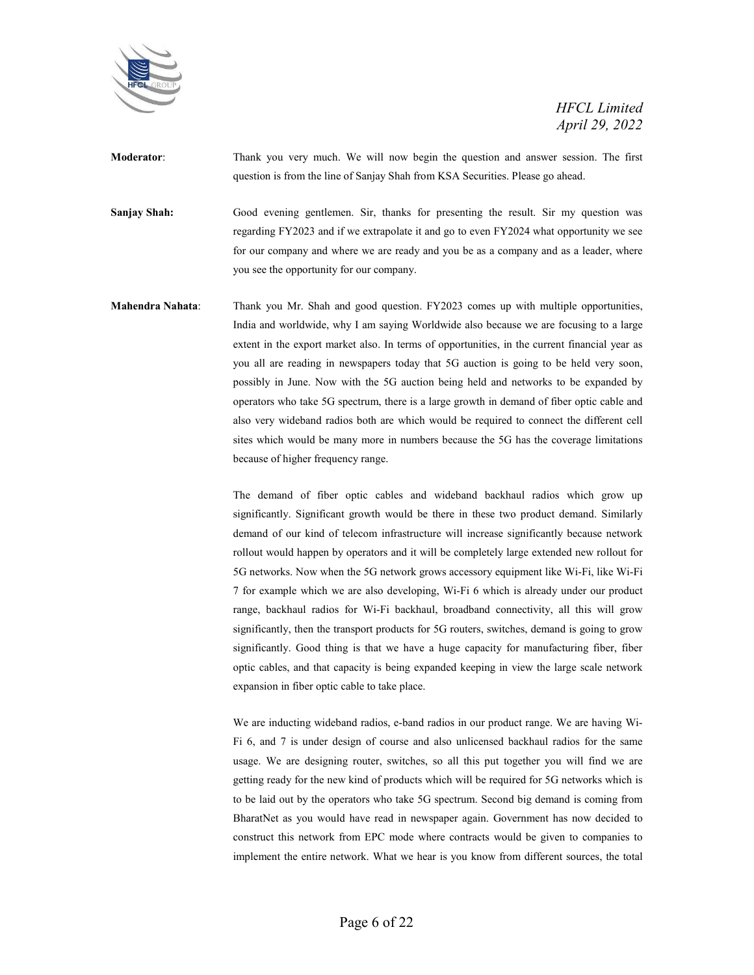

**Moderator**: Thank you very much. We will now begin the question and answer session. The first question is from the line of Sanjay Shah from KSA Securities. Please go ahead.

**Sanjay Shah:** Good evening gentlemen. Sir, thanks for presenting the result. Sir my question was regarding FY2023 and if we extrapolate it and go to even FY2024 what opportunity we see for our company and where we are ready and you be as a company and as a leader, where you see the opportunity for our company.

**Mahendra Nahata**: Thank you Mr. Shah and good question. FY2023 comes up with multiple opportunities, India and worldwide, why I am saying Worldwide also because we are focusing to a large extent in the export market also. In terms of opportunities, in the current financial year as you all are reading in newspapers today that 5G auction is going to be held very soon, possibly in June. Now with the 5G auction being held and networks to be expanded by operators who take 5G spectrum, there is a large growth in demand of fiber optic cable and also very wideband radios both are which would be required to connect the different cell sites which would be many more in numbers because the 5G has the coverage limitations because of higher frequency range.

> The demand of fiber optic cables and wideband backhaul radios which grow up significantly. Significant growth would be there in these two product demand. Similarly demand of our kind of telecom infrastructure will increase significantly because network rollout would happen by operators and it will be completely large extended new rollout for 5G networks. Now when the 5G network grows accessory equipment like Wi-Fi, like Wi-Fi 7 for example which we are also developing, Wi-Fi 6 which is already under our product range, backhaul radios for Wi-Fi backhaul, broadband connectivity, all this will grow significantly, then the transport products for 5G routers, switches, demand is going to grow significantly. Good thing is that we have a huge capacity for manufacturing fiber, fiber optic cables, and that capacity is being expanded keeping in view the large scale network expansion in fiber optic cable to take place.

> We are inducting wideband radios, e-band radios in our product range. We are having Wi-Fi 6, and 7 is under design of course and also unlicensed backhaul radios for the same usage. We are designing router, switches, so all this put together you will find we are getting ready for the new kind of products which will be required for 5G networks which is to be laid out by the operators who take 5G spectrum. Second big demand is coming from BharatNet as you would have read in newspaper again. Government has now decided to construct this network from EPC mode where contracts would be given to companies to implement the entire network. What we hear is you know from different sources, the total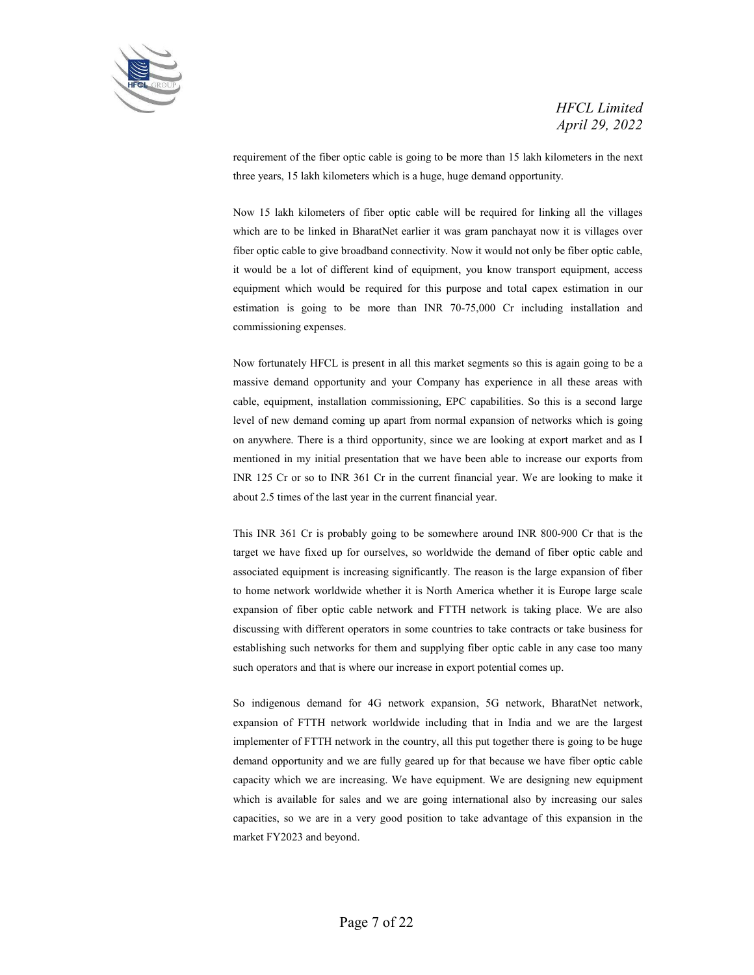

requirement of the fiber optic cable is going to be more than 15 lakh kilometers in the next three years, 15 lakh kilometers which is a huge, huge demand opportunity.

Now 15 lakh kilometers of fiber optic cable will be required for linking all the villages which are to be linked in BharatNet earlier it was gram panchayat now it is villages over fiber optic cable to give broadband connectivity. Now it would not only be fiber optic cable, it would be a lot of different kind of equipment, you know transport equipment, access equipment which would be required for this purpose and total capex estimation in our estimation is going to be more than INR 70-75,000 Cr including installation and commissioning expenses.

Now fortunately HFCL is present in all this market segments so this is again going to be a massive demand opportunity and your Company has experience in all these areas with cable, equipment, installation commissioning, EPC capabilities. So this is a second large level of new demand coming up apart from normal expansion of networks which is going on anywhere. There is a third opportunity, since we are looking at export market and as I mentioned in my initial presentation that we have been able to increase our exports from INR 125 Cr or so to INR 361 Cr in the current financial year. We are looking to make it about 2.5 times of the last year in the current financial year.

This INR 361 Cr is probably going to be somewhere around INR 800-900 Cr that is the target we have fixed up for ourselves, so worldwide the demand of fiber optic cable and associated equipment is increasing significantly. The reason is the large expansion of fiber to home network worldwide whether it is North America whether it is Europe large scale expansion of fiber optic cable network and FTTH network is taking place. We are also discussing with different operators in some countries to take contracts or take business for establishing such networks for them and supplying fiber optic cable in any case too many such operators and that is where our increase in export potential comes up.

So indigenous demand for 4G network expansion, 5G network, BharatNet network, expansion of FTTH network worldwide including that in India and we are the largest implementer of FTTH network in the country, all this put together there is going to be huge demand opportunity and we are fully geared up for that because we have fiber optic cable capacity which we are increasing. We have equipment. We are designing new equipment which is available for sales and we are going international also by increasing our sales capacities, so we are in a very good position to take advantage of this expansion in the market FY2023 and beyond.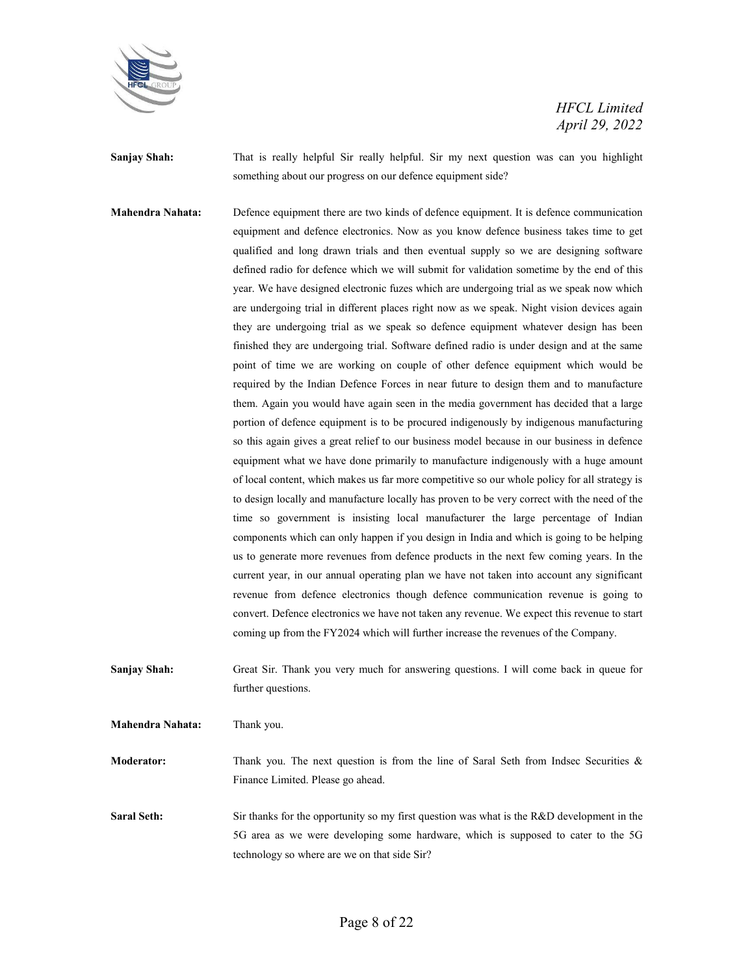

**Sanjay Shah:** That is really helpful Sir really helpful. Sir my next question was can you highlight something about our progress on our defence equipment side?

**Mahendra Nahata:** Defence equipment there are two kinds of defence equipment. It is defence communication equipment and defence electronics. Now as you know defence business takes time to get qualified and long drawn trials and then eventual supply so we are designing software defined radio for defence which we will submit for validation sometime by the end of this year. We have designed electronic fuzes which are undergoing trial as we speak now which are undergoing trial in different places right now as we speak. Night vision devices again they are undergoing trial as we speak so defence equipment whatever design has been finished they are undergoing trial. Software defined radio is under design and at the same point of time we are working on couple of other defence equipment which would be required by the Indian Defence Forces in near future to design them and to manufacture them. Again you would have again seen in the media government has decided that a large portion of defence equipment is to be procured indigenously by indigenous manufacturing so this again gives a great relief to our business model because in our business in defence equipment what we have done primarily to manufacture indigenously with a huge amount of local content, which makes us far more competitive so our whole policy for all strategy is to design locally and manufacture locally has proven to be very correct with the need of the time so government is insisting local manufacturer the large percentage of Indian components which can only happen if you design in India and which is going to be helping us to generate more revenues from defence products in the next few coming years. In the current year, in our annual operating plan we have not taken into account any significant revenue from defence electronics though defence communication revenue is going to convert. Defence electronics we have not taken any revenue. We expect this revenue to start coming up from the FY2024 which will further increase the revenues of the Company.

**Sanjay Shah:** Great Sir. Thank you very much for answering questions. I will come back in queue for further questions.

**Mahendra Nahata:** Thank you.

**Moderator:** Thank you. The next question is from the line of Saral Seth from Indsec Securities & Finance Limited. Please go ahead.

**Saral Seth:** Sir thanks for the opportunity so my first question was what is the R&D development in the 5G area as we were developing some hardware, which is supposed to cater to the 5G technology so where are we on that side Sir?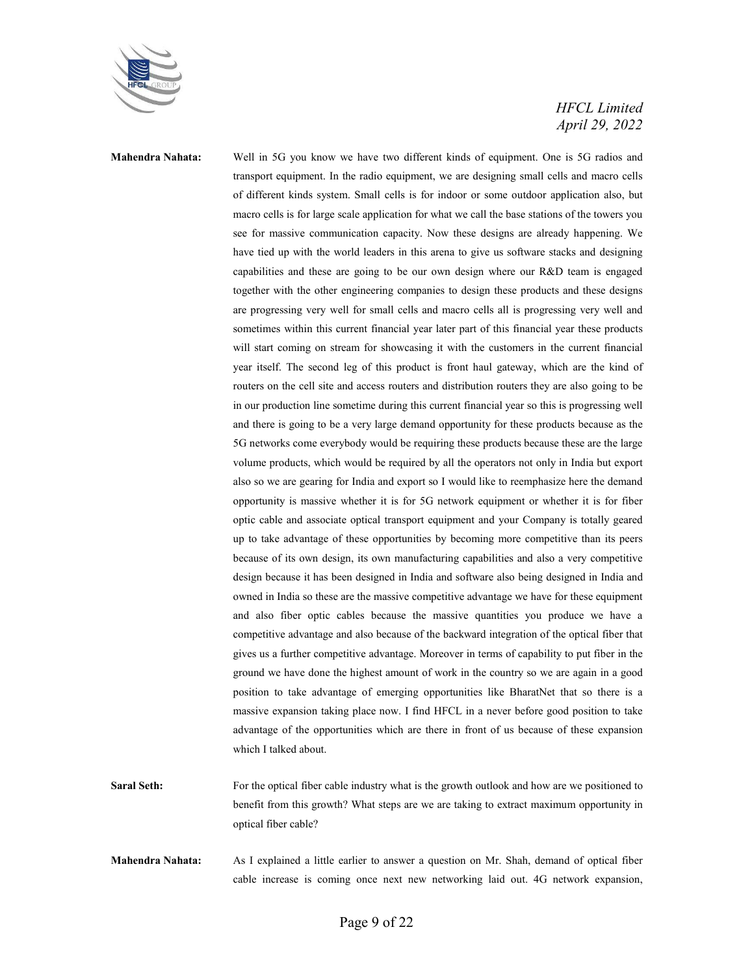

**Mahendra Nahata:** Well in 5G you know we have two different kinds of equipment. One is 5G radios and transport equipment. In the radio equipment, we are designing small cells and macro cells of different kinds system. Small cells is for indoor or some outdoor application also, but macro cells is for large scale application for what we call the base stations of the towers you see for massive communication capacity. Now these designs are already happening. We have tied up with the world leaders in this arena to give us software stacks and designing capabilities and these are going to be our own design where our R&D team is engaged together with the other engineering companies to design these products and these designs are progressing very well for small cells and macro cells all is progressing very well and sometimes within this current financial year later part of this financial year these products will start coming on stream for showcasing it with the customers in the current financial year itself. The second leg of this product is front haul gateway, which are the kind of routers on the cell site and access routers and distribution routers they are also going to be in our production line sometime during this current financial year so this is progressing well and there is going to be a very large demand opportunity for these products because as the 5G networks come everybody would be requiring these products because these are the large volume products, which would be required by all the operators not only in India but export also so we are gearing for India and export so I would like to reemphasize here the demand opportunity is massive whether it is for 5G network equipment or whether it is for fiber optic cable and associate optical transport equipment and your Company is totally geared up to take advantage of these opportunities by becoming more competitive than its peers because of its own design, its own manufacturing capabilities and also a very competitive design because it has been designed in India and software also being designed in India and owned in India so these are the massive competitive advantage we have for these equipment and also fiber optic cables because the massive quantities you produce we have a competitive advantage and also because of the backward integration of the optical fiber that gives us a further competitive advantage. Moreover in terms of capability to put fiber in the ground we have done the highest amount of work in the country so we are again in a good position to take advantage of emerging opportunities like BharatNet that so there is a massive expansion taking place now. I find HFCL in a never before good position to take advantage of the opportunities which are there in front of us because of these expansion which I talked about.

- **Saral Seth:** For the optical fiber cable industry what is the growth outlook and how are we positioned to benefit from this growth? What steps are we are taking to extract maximum opportunity in optical fiber cable?
- **Mahendra Nahata:** As I explained a little earlier to answer a question on Mr. Shah, demand of optical fiber cable increase is coming once next new networking laid out. 4G network expansion,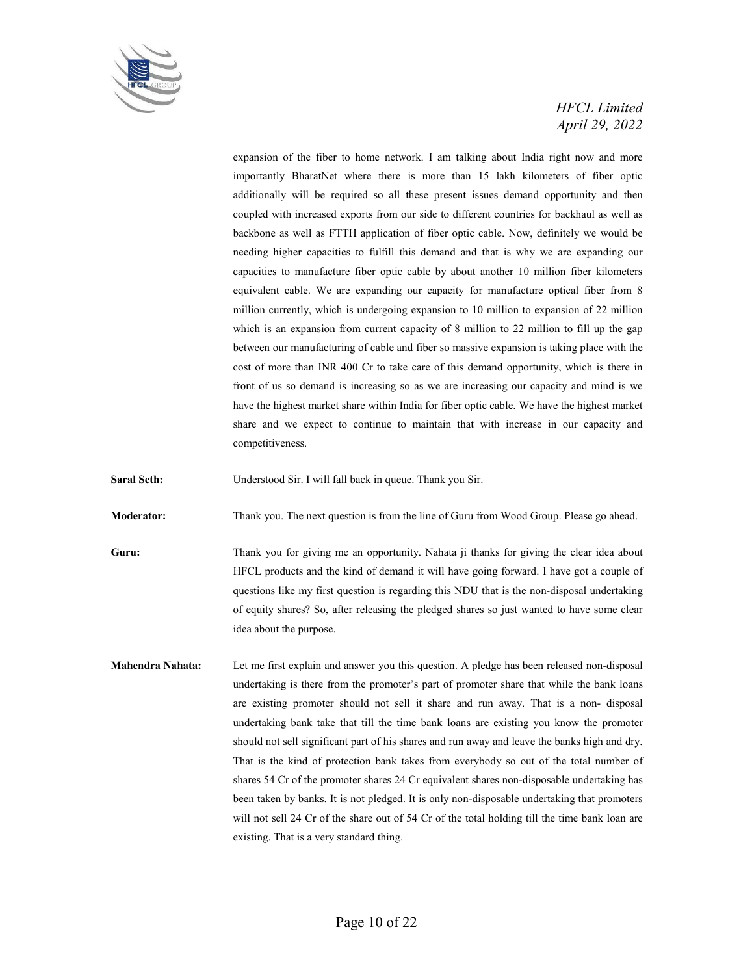

expansion of the fiber to home network. I am talking about India right now and more importantly BharatNet where there is more than 15 lakh kilometers of fiber optic additionally will be required so all these present issues demand opportunity and then coupled with increased exports from our side to different countries for backhaul as well as backbone as well as FTTH application of fiber optic cable. Now, definitely we would be needing higher capacities to fulfill this demand and that is why we are expanding our capacities to manufacture fiber optic cable by about another 10 million fiber kilometers equivalent cable. We are expanding our capacity for manufacture optical fiber from 8 million currently, which is undergoing expansion to 10 million to expansion of 22 million which is an expansion from current capacity of 8 million to 22 million to fill up the gap between our manufacturing of cable and fiber so massive expansion is taking place with the cost of more than INR 400 Cr to take care of this demand opportunity, which is there in front of us so demand is increasing so as we are increasing our capacity and mind is we have the highest market share within India for fiber optic cable. We have the highest market share and we expect to continue to maintain that with increase in our capacity and competitiveness.

**Saral Seth:** Understood Sir. I will fall back in queue. Thank you Sir.

**Moderator:** Thank you. The next question is from the line of Guru from Wood Group. Please go ahead.

**Guru:** Thank you for giving me an opportunity. Nahata ji thanks for giving the clear idea about HFCL products and the kind of demand it will have going forward. I have got a couple of questions like my first question is regarding this NDU that is the non-disposal undertaking of equity shares? So, after releasing the pledged shares so just wanted to have some clear idea about the purpose.

**Mahendra Nahata:** Let me first explain and answer you this question. A pledge has been released non-disposal undertaking is there from the promoter's part of promoter share that while the bank loans are existing promoter should not sell it share and run away. That is a non- disposal undertaking bank take that till the time bank loans are existing you know the promoter should not sell significant part of his shares and run away and leave the banks high and dry. That is the kind of protection bank takes from everybody so out of the total number of shares 54 Cr of the promoter shares 24 Cr equivalent shares non-disposable undertaking has been taken by banks. It is not pledged. It is only non-disposable undertaking that promoters will not sell 24 Cr of the share out of 54 Cr of the total holding till the time bank loan are existing. That is a very standard thing.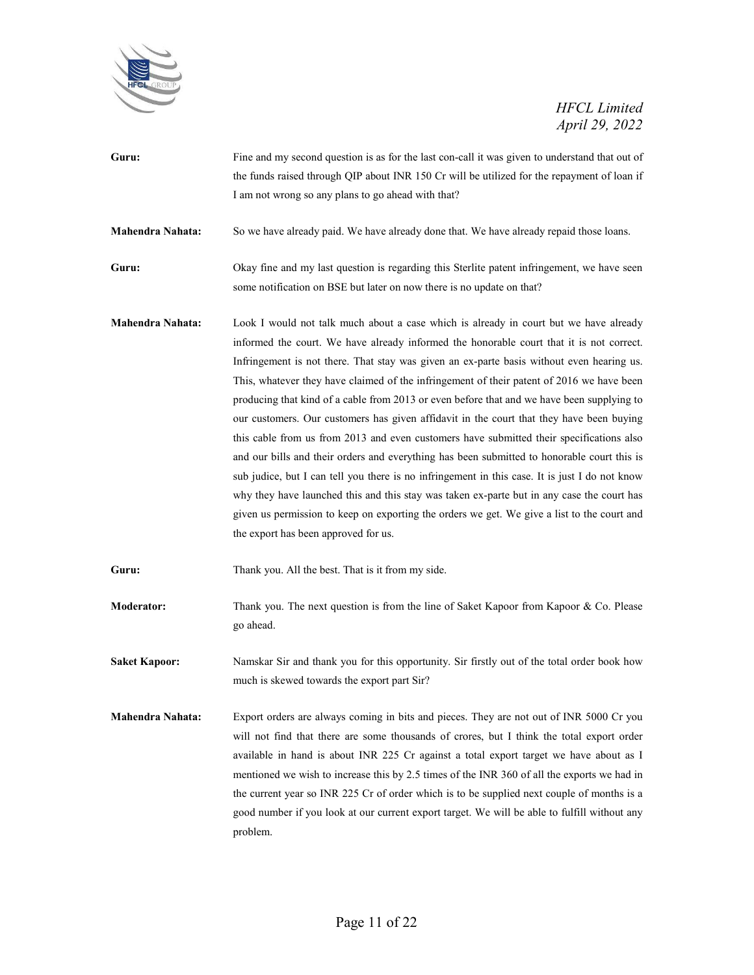

**Guru:** Fine and my second question is as for the last con-call it was given to understand that out of the funds raised through QIP about INR 150 Cr will be utilized for the repayment of loan if I am not wrong so any plans to go ahead with that?

**Mahendra Nahata:** So we have already paid. We have already done that. We have already repaid those loans.

- **Guru:** Okay fine and my last question is regarding this Sterlite patent infringement, we have seen some notification on BSE but later on now there is no update on that?
- **Mahendra Nahata:** Look I would not talk much about a case which is already in court but we have already informed the court. We have already informed the honorable court that it is not correct. Infringement is not there. That stay was given an ex-parte basis without even hearing us. This, whatever they have claimed of the infringement of their patent of 2016 we have been producing that kind of a cable from 2013 or even before that and we have been supplying to our customers. Our customers has given affidavit in the court that they have been buying this cable from us from 2013 and even customers have submitted their specifications also and our bills and their orders and everything has been submitted to honorable court this is sub judice, but I can tell you there is no infringement in this case. It is just I do not know why they have launched this and this stay was taken ex-parte but in any case the court has given us permission to keep on exporting the orders we get. We give a list to the court and the export has been approved for us.

Guru: Thank you. All the best. That is it from my side.

- **Moderator:** Thank you. The next question is from the line of Saket Kapoor from Kapoor & Co. Please go ahead.
- **Saket Kapoor:** Namskar Sir and thank you for this opportunity. Sir firstly out of the total order book how much is skewed towards the export part Sir?
- **Mahendra Nahata:** Export orders are always coming in bits and pieces. They are not out of INR 5000 Cr you will not find that there are some thousands of crores, but I think the total export order available in hand is about INR 225 Cr against a total export target we have about as I mentioned we wish to increase this by 2.5 times of the INR 360 of all the exports we had in the current year so INR 225 Cr of order which is to be supplied next couple of months is a good number if you look at our current export target. We will be able to fulfill without any problem.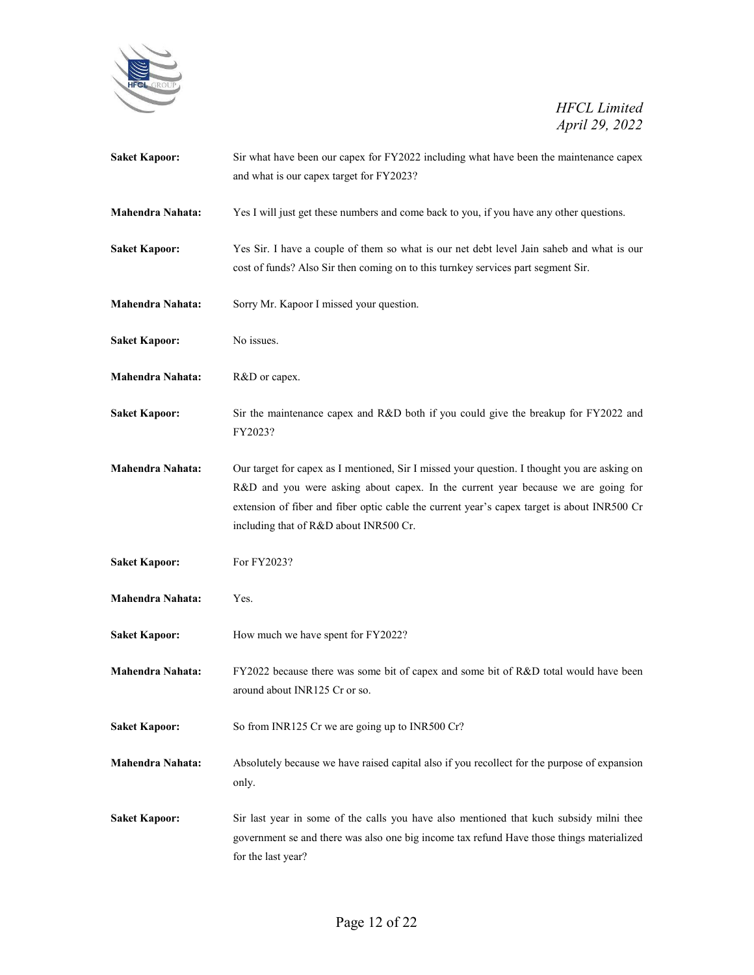

| <b>Saket Kapoor:</b>    | Sir what have been our capex for FY2022 including what have been the maintenance capex<br>and what is our capex target for FY2023?                                                                                                                                                                                         |
|-------------------------|----------------------------------------------------------------------------------------------------------------------------------------------------------------------------------------------------------------------------------------------------------------------------------------------------------------------------|
|                         |                                                                                                                                                                                                                                                                                                                            |
| <b>Mahendra Nahata:</b> | Yes I will just get these numbers and come back to you, if you have any other questions.                                                                                                                                                                                                                                   |
| <b>Saket Kapoor:</b>    | Yes Sir. I have a couple of them so what is our net debt level Jain saheb and what is our<br>cost of funds? Also Sir then coming on to this turnkey services part segment Sir.                                                                                                                                             |
| <b>Mahendra Nahata:</b> | Sorry Mr. Kapoor I missed your question.                                                                                                                                                                                                                                                                                   |
| <b>Saket Kapoor:</b>    | No issues.                                                                                                                                                                                                                                                                                                                 |
| Mahendra Nahata:        | R&D or capex.                                                                                                                                                                                                                                                                                                              |
| <b>Saket Kapoor:</b>    | Sir the maintenance capex and R&D both if you could give the breakup for FY2022 and<br>FY2023?                                                                                                                                                                                                                             |
| <b>Mahendra Nahata:</b> | Our target for capex as I mentioned, Sir I missed your question. I thought you are asking on<br>R&D and you were asking about capex. In the current year because we are going for<br>extension of fiber and fiber optic cable the current year's capex target is about INR500 Cr<br>including that of R&D about INR500 Cr. |
| <b>Saket Kapoor:</b>    | For FY2023?                                                                                                                                                                                                                                                                                                                |
| <b>Mahendra Nahata:</b> | Yes.                                                                                                                                                                                                                                                                                                                       |
| <b>Saket Kapoor:</b>    | How much we have spent for FY2022?                                                                                                                                                                                                                                                                                         |
| <b>Mahendra Nahata:</b> | FY2022 because there was some bit of capex and some bit of R&D total would have been<br>around about INR125 Cr or so.                                                                                                                                                                                                      |
| <b>Saket Kapoor:</b>    | So from INR125 Cr we are going up to INR500 Cr?                                                                                                                                                                                                                                                                            |
| <b>Mahendra Nahata:</b> | Absolutely because we have raised capital also if you recollect for the purpose of expansion<br>only.                                                                                                                                                                                                                      |
| <b>Saket Kapoor:</b>    | Sir last year in some of the calls you have also mentioned that kuch subsidy milni thee<br>government se and there was also one big income tax refund Have those things materialized<br>for the last year?                                                                                                                 |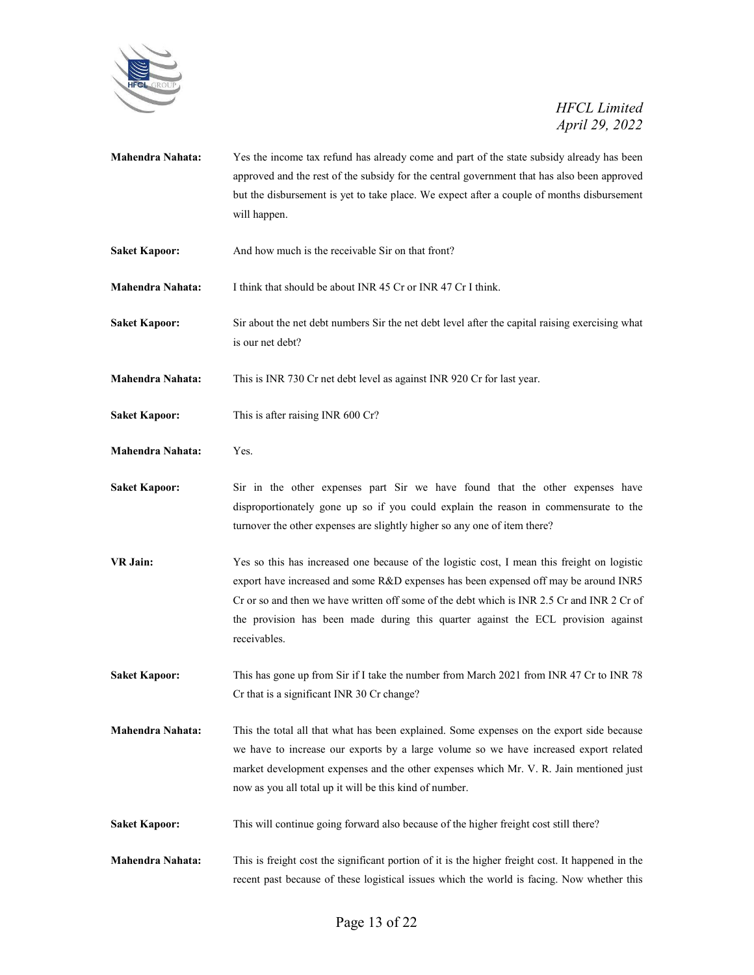

- **Mahendra Nahata:** Yes the income tax refund has already come and part of the state subsidy already has been approved and the rest of the subsidy for the central government that has also been approved but the disbursement is yet to take place. We expect after a couple of months disbursement will happen.
- Saket Kapoor: And how much is the receivable Sir on that front?

**Mahendra Nahata:** I think that should be about INR 45 Cr or INR 47 Cr I think.

**Saket Kapoor:** Sir about the net debt numbers Sir the net debt level after the capital raising exercising what is our net debt?

**Mahendra Nahata:** This is INR 730 Cr net debt level as against INR 920 Cr for last year.

- **Saket Kapoor:** This is after raising INR 600 Cr?
- **Mahendra Nahata:** Yes.
- Saket Kapoor: Sir in the other expenses part Sir we have found that the other expenses have disproportionately gone up so if you could explain the reason in commensurate to the turnover the other expenses are slightly higher so any one of item there?
- **VR Jain:** Yes so this has increased one because of the logistic cost, I mean this freight on logistic export have increased and some R&D expenses has been expensed off may be around INR5 Cr or so and then we have written off some of the debt which is INR 2.5 Cr and INR 2 Cr of the provision has been made during this quarter against the ECL provision against receivables.
- **Saket Kapoor:** This has gone up from Sir if I take the number from March 2021 from INR 47 Cr to INR 78 Cr that is a significant INR 30 Cr change?
- **Mahendra Nahata:** This the total all that what has been explained. Some expenses on the export side because we have to increase our exports by a large volume so we have increased export related market development expenses and the other expenses which Mr. V. R. Jain mentioned just now as you all total up it will be this kind of number.
- Saket Kapoor: This will continue going forward also because of the higher freight cost still there?
- **Mahendra Nahata:** This is freight cost the significant portion of it is the higher freight cost. It happened in the recent past because of these logistical issues which the world is facing. Now whether this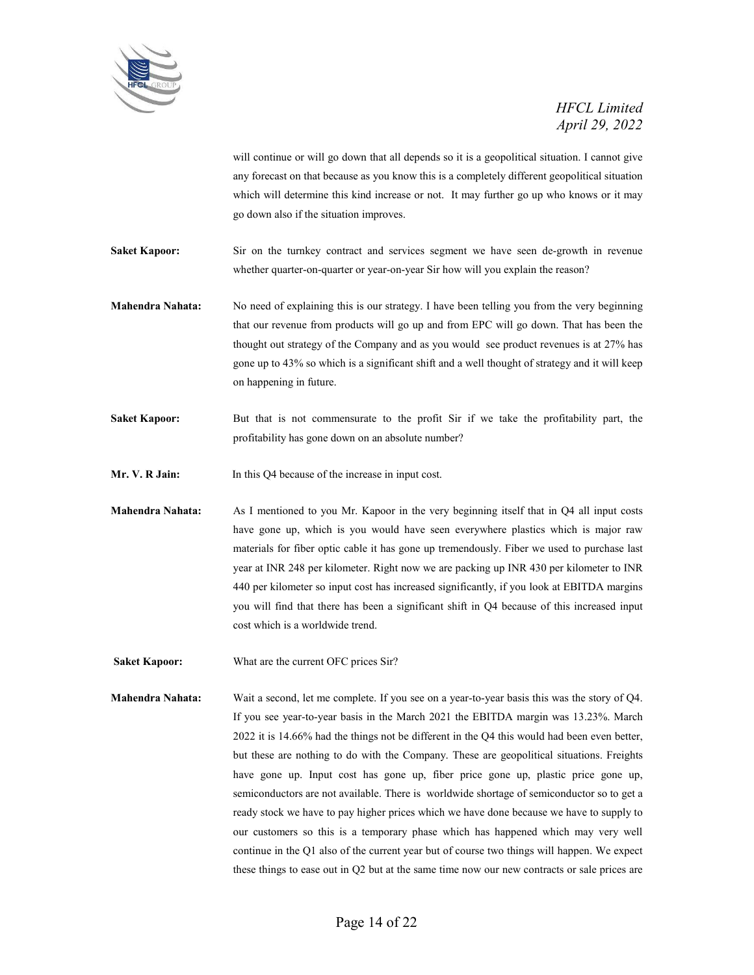

will continue or will go down that all depends so it is a geopolitical situation. I cannot give any forecast on that because as you know this is a completely different geopolitical situation which will determine this kind increase or not. It may further go up who knows or it may go down also if the situation improves.

**Saket Kapoor:** Sir on the turnkey contract and services segment we have seen de-growth in revenue whether quarter-on-quarter or year-on-year Sir how will you explain the reason?

**Mahendra Nahata:** No need of explaining this is our strategy. I have been telling you from the very beginning that our revenue from products will go up and from EPC will go down. That has been the thought out strategy of the Company and as you would see product revenues is at 27% has gone up to 43% so which is a significant shift and a well thought of strategy and it will keep on happening in future.

**Saket Kapoor:** But that is not commensurate to the profit Sir if we take the profitability part, the profitability has gone down on an absolute number?

Mr. V. R Jain: In this Q4 because of the increase in input cost.

**Mahendra Nahata:** As I mentioned to you Mr. Kapoor in the very beginning itself that in Q4 all input costs have gone up, which is you would have seen everywhere plastics which is major raw materials for fiber optic cable it has gone up tremendously. Fiber we used to purchase last year at INR 248 per kilometer. Right now we are packing up INR 430 per kilometer to INR 440 per kilometer so input cost has increased significantly, if you look at EBITDA margins you will find that there has been a significant shift in Q4 because of this increased input cost which is a worldwide trend.

**Saket Kapoor:** What are the current OFC prices Sir?

**Mahendra Nahata:** Wait a second, let me complete. If you see on a year-to-year basis this was the story of Q4. If you see year-to-year basis in the March 2021 the EBITDA margin was 13.23%. March 2022 it is 14.66% had the things not be different in the Q4 this would had been even better, but these are nothing to do with the Company. These are geopolitical situations. Freights have gone up. Input cost has gone up, fiber price gone up, plastic price gone up, semiconductors are not available. There is worldwide shortage of semiconductor so to get a ready stock we have to pay higher prices which we have done because we have to supply to our customers so this is a temporary phase which has happened which may very well continue in the Q1 also of the current year but of course two things will happen. We expect these things to ease out in Q2 but at the same time now our new contracts or sale prices are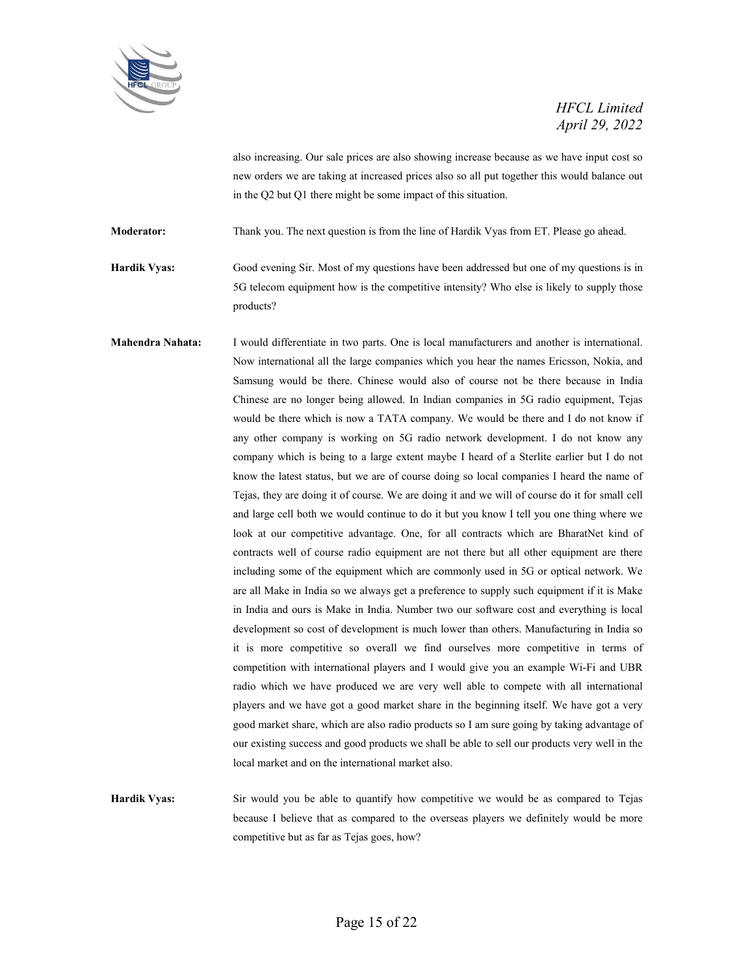

also increasing. Our sale prices are also showing increase because as we have input cost so new orders we are taking at increased prices also so all put together this would balance out in the Q2 but Q1 there might be some impact of this situation.

**Moderator:** Thank you. The next question is from the line of Hardik Vyas from ET. Please go ahead.

**Hardik Vyas:** Good evening Sir. Most of my questions have been addressed but one of my questions is in 5G telecom equipment how is the competitive intensity? Who else is likely to supply those products?

**Mahendra Nahata:** I would differentiate in two parts. One is local manufacturers and another is international. Now international all the large companies which you hear the names Ericsson, Nokia, and Samsung would be there. Chinese would also of course not be there because in India Chinese are no longer being allowed. In Indian companies in 5G radio equipment, Tejas would be there which is now a TATA company. We would be there and I do not know if any other company is working on 5G radio network development. I do not know any company which is being to a large extent maybe I heard of a Sterlite earlier but I do not know the latest status, but we are of course doing so local companies I heard the name of Tejas, they are doing it of course. We are doing it and we will of course do it for small cell and large cell both we would continue to do it but you know I tell you one thing where we look at our competitive advantage. One, for all contracts which are BharatNet kind of contracts well of course radio equipment are not there but all other equipment are there including some of the equipment which are commonly used in 5G or optical network. We are all Make in India so we always get a preference to supply such equipment if it is Make in India and ours is Make in India. Number two our software cost and everything is local development so cost of development is much lower than others. Manufacturing in India so it is more competitive so overall we find ourselves more competitive in terms of competition with international players and I would give you an example Wi-Fi and UBR radio which we have produced we are very well able to compete with all international players and we have got a good market share in the beginning itself. We have got a very good market share, which are also radio products so I am sure going by taking advantage of our existing success and good products we shall be able to sell our products very well in the local market and on the international market also.

**Hardik Vyas:** Sir would you be able to quantify how competitive we would be as compared to Tejas because I believe that as compared to the overseas players we definitely would be more competitive but as far as Tejas goes, how?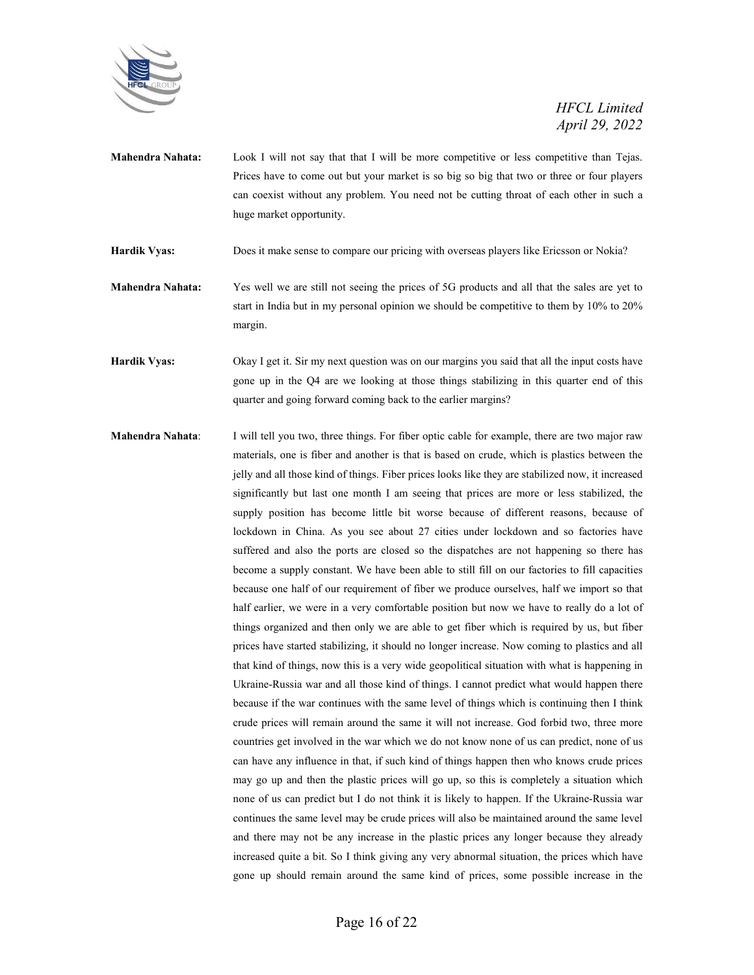

**Mahendra Nahata:** Look I will not say that that I will be more competitive or less competitive than Tejas. Prices have to come out but your market is so big so big that two or three or four players can coexist without any problem. You need not be cutting throat of each other in such a huge market opportunity.

**Hardik Vyas:** Does it make sense to compare our pricing with overseas players like Ericsson or Nokia?

- **Mahendra Nahata:** Yes well we are still not seeing the prices of 5G products and all that the sales are yet to start in India but in my personal opinion we should be competitive to them by 10% to 20% margin.
- **Hardik Vyas:** Okay I get it. Sir my next question was on our margins you said that all the input costs have gone up in the Q4 are we looking at those things stabilizing in this quarter end of this quarter and going forward coming back to the earlier margins?
- **Mahendra Nahata**: I will tell you two, three things. For fiber optic cable for example, there are two major raw materials, one is fiber and another is that is based on crude, which is plastics between the jelly and all those kind of things. Fiber prices looks like they are stabilized now, it increased significantly but last one month I am seeing that prices are more or less stabilized, the supply position has become little bit worse because of different reasons, because of lockdown in China. As you see about 27 cities under lockdown and so factories have suffered and also the ports are closed so the dispatches are not happening so there has become a supply constant. We have been able to still fill on our factories to fill capacities because one half of our requirement of fiber we produce ourselves, half we import so that half earlier, we were in a very comfortable position but now we have to really do a lot of things organized and then only we are able to get fiber which is required by us, but fiber prices have started stabilizing, it should no longer increase. Now coming to plastics and all that kind of things, now this is a very wide geopolitical situation with what is happening in Ukraine-Russia war and all those kind of things. I cannot predict what would happen there because if the war continues with the same level of things which is continuing then I think crude prices will remain around the same it will not increase. God forbid two, three more countries get involved in the war which we do not know none of us can predict, none of us can have any influence in that, if such kind of things happen then who knows crude prices may go up and then the plastic prices will go up, so this is completely a situation which none of us can predict but I do not think it is likely to happen. If the Ukraine-Russia war continues the same level may be crude prices will also be maintained around the same level and there may not be any increase in the plastic prices any longer because they already increased quite a bit. So I think giving any very abnormal situation, the prices which have gone up should remain around the same kind of prices, some possible increase in the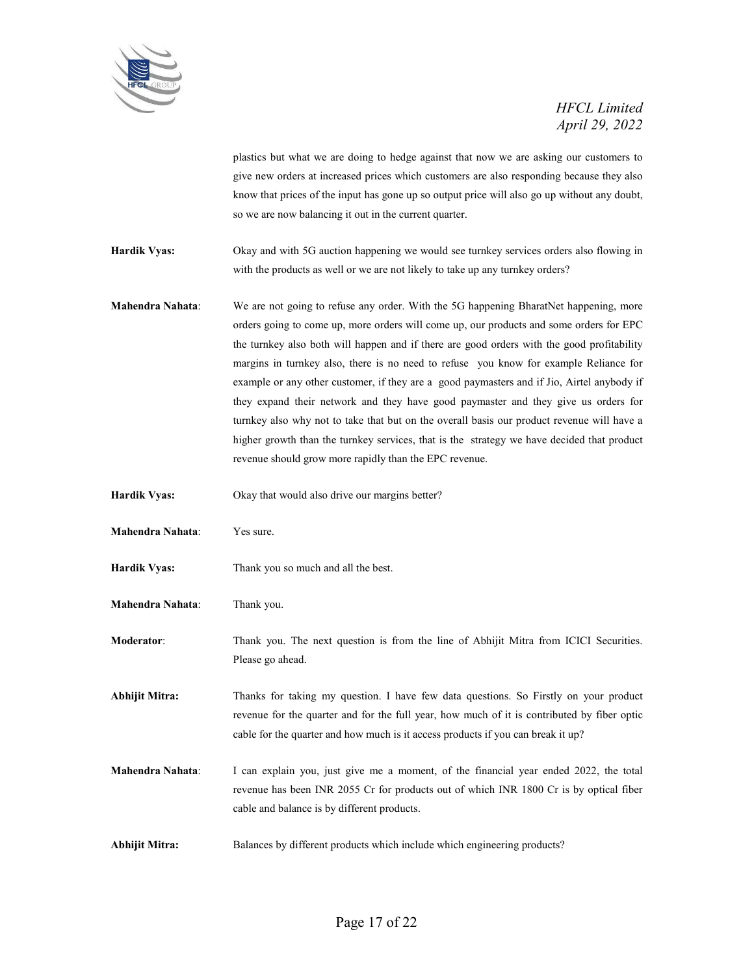

plastics but what we are doing to hedge against that now we are asking our customers to give new orders at increased prices which customers are also responding because they also know that prices of the input has gone up so output price will also go up without any doubt, so we are now balancing it out in the current quarter.

**Hardik Vyas:** Okay and with 5G auction happening we would see turnkey services orders also flowing in with the products as well or we are not likely to take up any turnkey orders?

- **Mahendra Nahata**: We are not going to refuse any order. With the 5G happening BharatNet happening, more orders going to come up, more orders will come up, our products and some orders for EPC the turnkey also both will happen and if there are good orders with the good profitability margins in turnkey also, there is no need to refuse you know for example Reliance for example or any other customer, if they are a good paymasters and if Jio, Airtel anybody if they expand their network and they have good paymaster and they give us orders for turnkey also why not to take that but on the overall basis our product revenue will have a higher growth than the turnkey services, that is the strategy we have decided that product revenue should grow more rapidly than the EPC revenue.
- **Hardik Vyas:** Okay that would also drive our margins better?
- **Mahendra Nahata**: Yes sure.
- **Hardik Vyas:** Thank you so much and all the best.
- **Mahendra Nahata**: Thank you.

**Moderator**: Thank you. The next question is from the line of Abhijit Mitra from ICICI Securities. Please go ahead.

**Abhijit Mitra:** Thanks for taking my question. I have few data questions. So Firstly on your product revenue for the quarter and for the full year, how much of it is contributed by fiber optic cable for the quarter and how much is it access products if you can break it up?

- **Mahendra Nahata**: I can explain you, just give me a moment, of the financial year ended 2022, the total revenue has been INR 2055 Cr for products out of which INR 1800 Cr is by optical fiber cable and balance is by different products.
- **Abhijit Mitra:** Balances by different products which include which engineering products?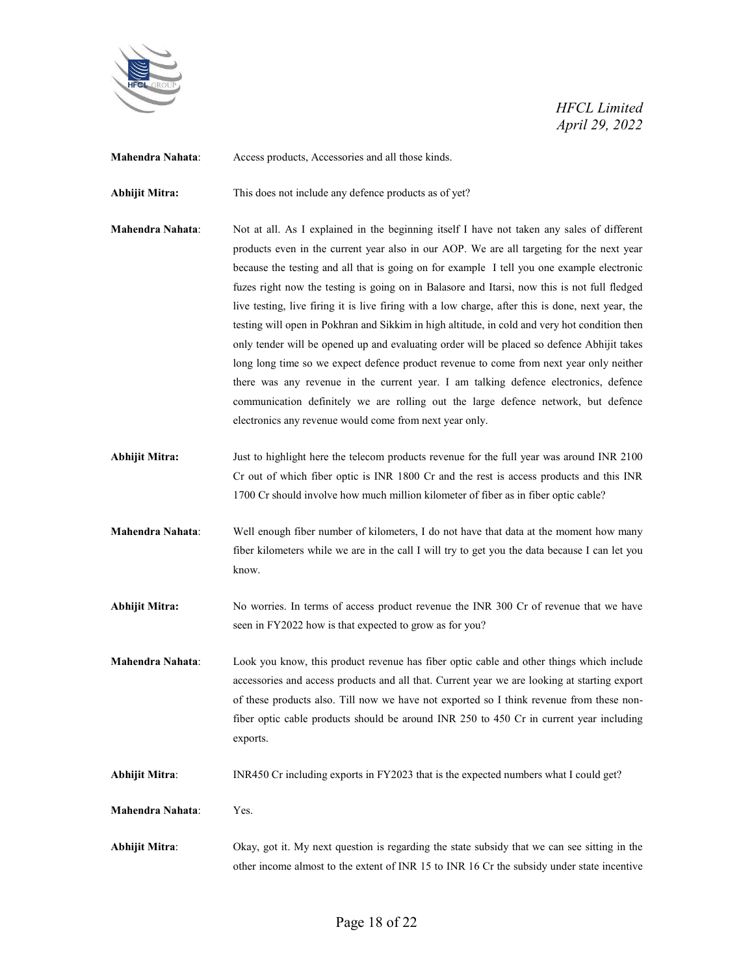

**Mahendra Nahata**: Access products, Accessories and all those kinds.

Abhijit Mitra: This does not include any defence products as of yet?

- **Mahendra Nahata**: Not at all. As I explained in the beginning itself I have not taken any sales of different products even in the current year also in our AOP. We are all targeting for the next year because the testing and all that is going on for example I tell you one example electronic fuzes right now the testing is going on in Balasore and Itarsi, now this is not full fledged live testing, live firing it is live firing with a low charge, after this is done, next year, the testing will open in Pokhran and Sikkim in high altitude, in cold and very hot condition then only tender will be opened up and evaluating order will be placed so defence Abhijit takes long long time so we expect defence product revenue to come from next year only neither there was any revenue in the current year. I am talking defence electronics, defence communication definitely we are rolling out the large defence network, but defence electronics any revenue would come from next year only.
- **Abhijit Mitra:** Just to highlight here the telecom products revenue for the full year was around INR 2100 Cr out of which fiber optic is INR 1800 Cr and the rest is access products and this INR 1700 Cr should involve how much million kilometer of fiber as in fiber optic cable?
- **Mahendra Nahata**: Well enough fiber number of kilometers, I do not have that data at the moment how many fiber kilometers while we are in the call I will try to get you the data because I can let you know.
- **Abhijit Mitra:** No worries. In terms of access product revenue the INR 300 Cr of revenue that we have seen in FY2022 how is that expected to grow as for you?
- **Mahendra Nahata**: Look you know, this product revenue has fiber optic cable and other things which include accessories and access products and all that. Current year we are looking at starting export of these products also. Till now we have not exported so I think revenue from these nonfiber optic cable products should be around INR 250 to 450 Cr in current year including exports.
- **Abhijit Mitra**: INR450 Cr including exports in FY2023 that is the expected numbers what I could get?
- **Mahendra Nahata**: Yes.
- **Abhijit Mitra**: Okay, got it. My next question is regarding the state subsidy that we can see sitting in the other income almost to the extent of INR 15 to INR 16 Cr the subsidy under state incentive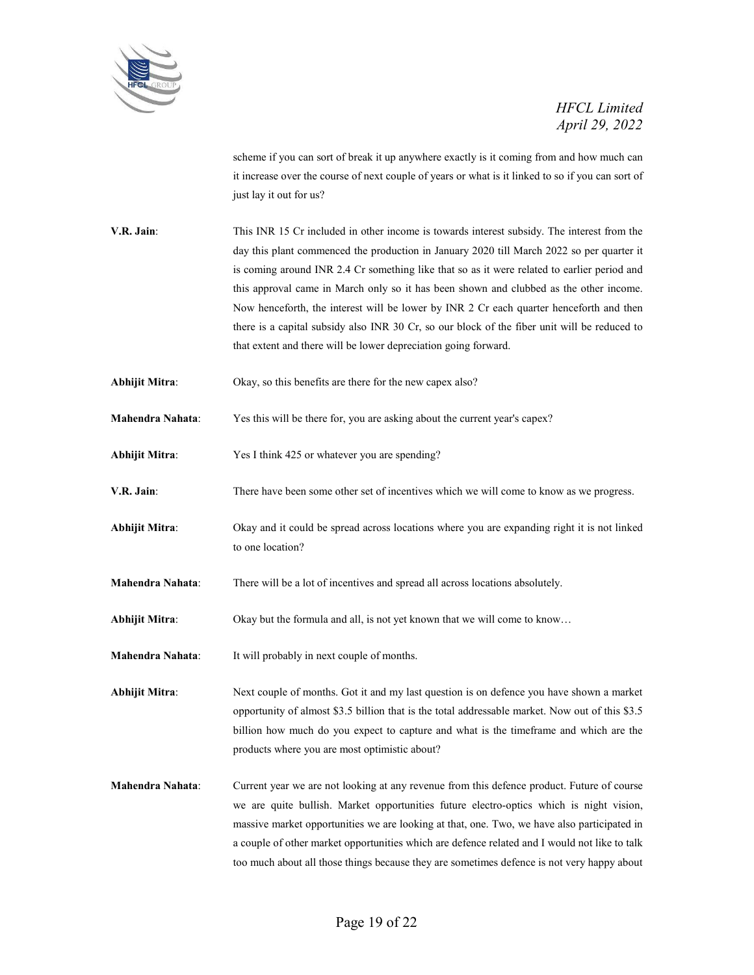

scheme if you can sort of break it up anywhere exactly is it coming from and how much can it increase over the course of next couple of years or what is it linked to so if you can sort of just lay it out for us?

**V.R. Jain:** This INR 15 Cr included in other income is towards interest subsidy. The interest from the day this plant commenced the production in January 2020 till March 2022 so per quarter it is coming around INR 2.4 Cr something like that so as it were related to earlier period and this approval came in March only so it has been shown and clubbed as the other income. Now henceforth, the interest will be lower by INR 2 Cr each quarter henceforth and then there is a capital subsidy also INR 30 Cr, so our block of the fiber unit will be reduced to that extent and there will be lower depreciation going forward.

**Abhijit Mitra**: Okay, so this benefits are there for the new capex also?

**Mahendra Nahata**: Yes this will be there for, you are asking about the current year's capex?

**Abhijit Mitra**: Yes I think 425 or whatever you are spending?

**V.R. Jain**: There have been some other set of incentives which we will come to know as we progress.

**Abhijit Mitra**: Okay and it could be spread across locations where you are expanding right it is not linked to one location?

**Mahendra Nahata**: There will be a lot of incentives and spread all across locations absolutely.

**Abhijit Mitra**: Okay but the formula and all, is not yet known that we will come to know…

**Mahendra Nahata**: It will probably in next couple of months.

**Abhijit Mitra**: Next couple of months. Got it and my last question is on defence you have shown a market opportunity of almost \$3.5 billion that is the total addressable market. Now out of this \$3.5 billion how much do you expect to capture and what is the timeframe and which are the products where you are most optimistic about?

**Mahendra Nahata**: Current year we are not looking at any revenue from this defence product. Future of course we are quite bullish. Market opportunities future electro-optics which is night vision, massive market opportunities we are looking at that, one. Two, we have also participated in a couple of other market opportunities which are defence related and I would not like to talk too much about all those things because they are sometimes defence is not very happy about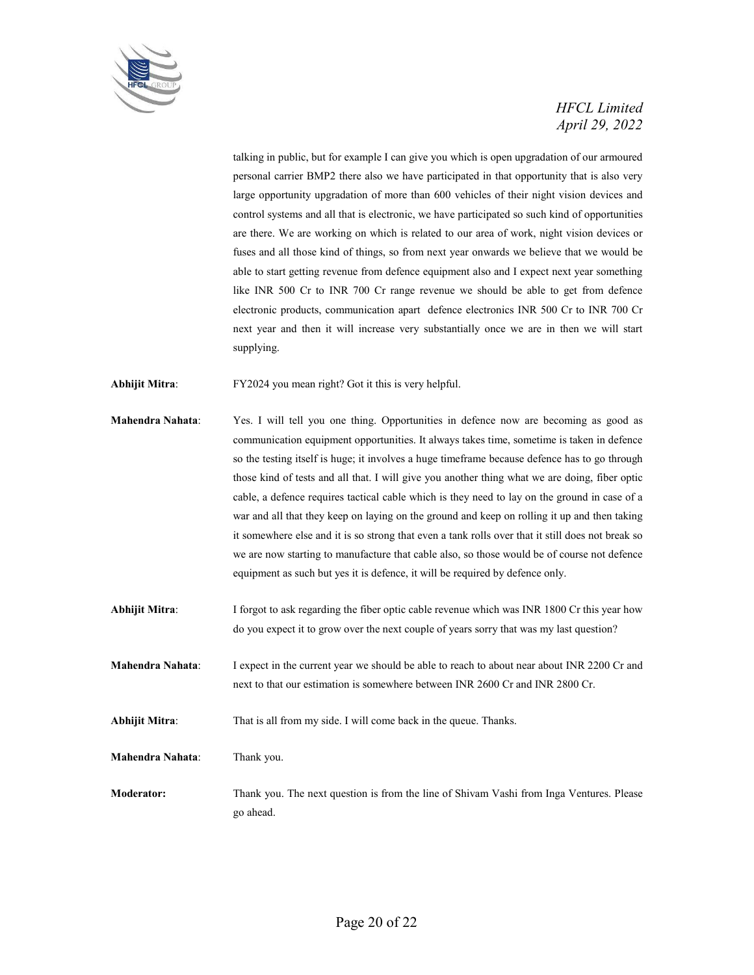

talking in public, but for example I can give you which is open upgradation of our armoured personal carrier BMP2 there also we have participated in that opportunity that is also very large opportunity upgradation of more than 600 vehicles of their night vision devices and control systems and all that is electronic, we have participated so such kind of opportunities are there. We are working on which is related to our area of work, night vision devices or fuses and all those kind of things, so from next year onwards we believe that we would be able to start getting revenue from defence equipment also and I expect next year something like INR 500 Cr to INR 700 Cr range revenue we should be able to get from defence electronic products, communication apart defence electronics INR 500 Cr to INR 700 Cr next year and then it will increase very substantially once we are in then we will start supplying.

**Abhijit Mitra**: FY2024 you mean right? Got it this is very helpful.

- **Mahendra Nahata**: Yes. I will tell you one thing. Opportunities in defence now are becoming as good as communication equipment opportunities. It always takes time, sometime is taken in defence so the testing itself is huge; it involves a huge timeframe because defence has to go through those kind of tests and all that. I will give you another thing what we are doing, fiber optic cable, a defence requires tactical cable which is they need to lay on the ground in case of a war and all that they keep on laying on the ground and keep on rolling it up and then taking it somewhere else and it is so strong that even a tank rolls over that it still does not break so we are now starting to manufacture that cable also, so those would be of course not defence equipment as such but yes it is defence, it will be required by defence only.
- **Abhijit Mitra**: I forgot to ask regarding the fiber optic cable revenue which was INR 1800 Cr this year how do you expect it to grow over the next couple of years sorry that was my last question?
- **Mahendra Nahata:** I expect in the current year we should be able to reach to about near about INR 2200 Cr and next to that our estimation is somewhere between INR 2600 Cr and INR 2800 Cr.
- **Abhijit Mitra:** That is all from my side. I will come back in the queue. Thanks.

**Mahendra Nahata**: Thank you.

**Moderator:** Thank you. The next question is from the line of Shivam Vashi from Inga Ventures. Please go ahead.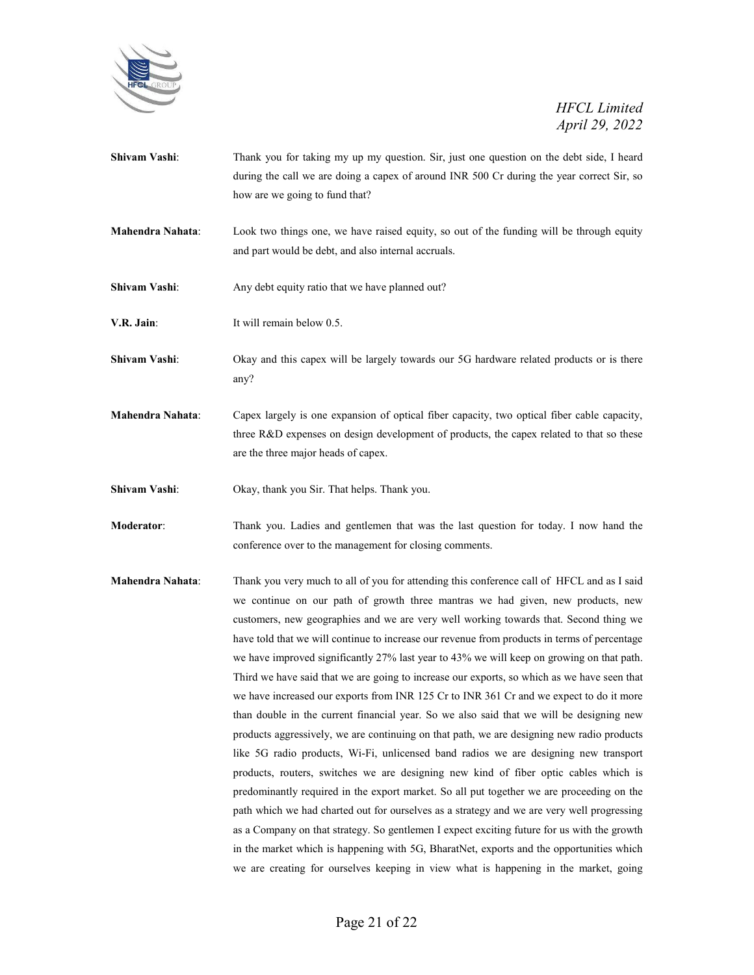

- **Shivam Vashi:** Thank you for taking my up my question. Sir, just one question on the debt side, I heard during the call we are doing a capex of around INR 500 Cr during the year correct Sir, so how are we going to fund that?
- **Mahendra Nahata**: Look two things one, we have raised equity, so out of the funding will be through equity and part would be debt, and also internal accruals.
- **Shivam Vashi:** Any debt equity ratio that we have planned out?
- **V.R. Jain:** It will remain below 0.5.
- **Shivam Vashi:** Okay and this capex will be largely towards our 5G hardware related products or is there any?
- **Mahendra Nahata**: Capex largely is one expansion of optical fiber capacity, two optical fiber cable capacity, three R&D expenses on design development of products, the capex related to that so these are the three major heads of capex.
- **Shivam Vashi**: Okay, thank you Sir. That helps. Thank you.
- **Moderator**: Thank you. Ladies and gentlemen that was the last question for today. I now hand the conference over to the management for closing comments.
- **Mahendra Nahata**: Thank you very much to all of you for attending this conference call of HFCL and as I said we continue on our path of growth three mantras we had given, new products, new customers, new geographies and we are very well working towards that. Second thing we have told that we will continue to increase our revenue from products in terms of percentage we have improved significantly 27% last year to 43% we will keep on growing on that path. Third we have said that we are going to increase our exports, so which as we have seen that we have increased our exports from INR 125 Cr to INR 361 Cr and we expect to do it more than double in the current financial year. So we also said that we will be designing new products aggressively, we are continuing on that path, we are designing new radio products like 5G radio products, Wi-Fi, unlicensed band radios we are designing new transport products, routers, switches we are designing new kind of fiber optic cables which is predominantly required in the export market. So all put together we are proceeding on the path which we had charted out for ourselves as a strategy and we are very well progressing as a Company on that strategy. So gentlemen I expect exciting future for us with the growth in the market which is happening with 5G, BharatNet, exports and the opportunities which we are creating for ourselves keeping in view what is happening in the market, going